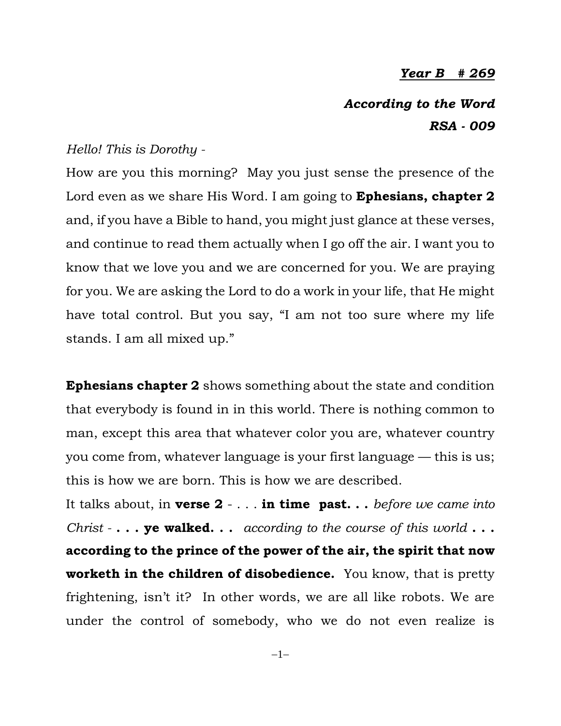## *Year B # 269*

*According to the Word RSA - 009*

## *Hello! This is Dorothy -*

How are you this morning? May you just sense the presence of the Lord even as we share His Word. I am going to **Ephesians, chapter 2** and, if you have a Bible to hand, you might just glance at these verses, and continue to read them actually when I go off the air. I want you to know that we love you and we are concerned for you. We are praying for you. We are asking the Lord to do a work in your life, that He might have total control. But you say, "I am not too sure where my life stands. I am all mixed up."

**Ephesians chapter 2** shows something about the state and condition that everybody is found in in this world. There is nothing common to man, except this area that whatever color you are, whatever country you come from, whatever language is your first language — this is us; this is how we are born. This is how we are described.

It talks about, in **verse 2** - . . . **in time past. . .** *before we came into Christ -* **. . . ye walked. . .** *according to the course of this world* **. . . according to the prince of the power of the air, the spirit that now worketh in the children of disobedience.** You know, that is pretty frightening, isn't it? In other words, we are all like robots. We are under the control of somebody, who we do not even realize is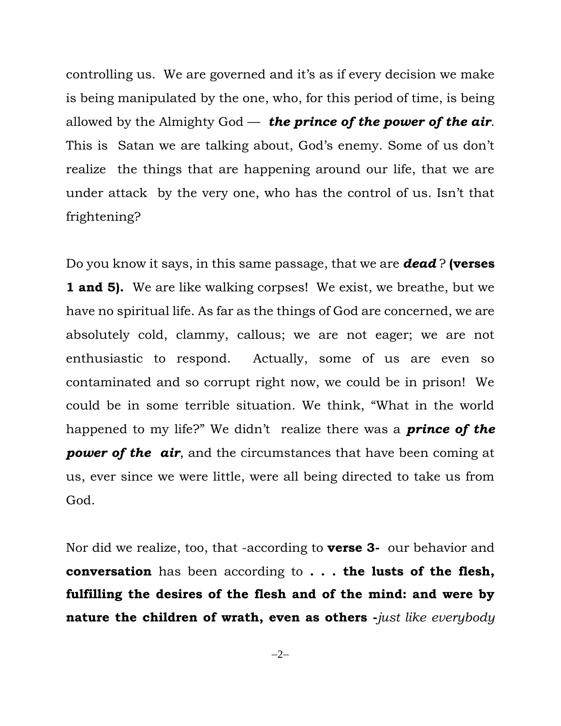controlling us. We are governed and it's as if every decision we make is being manipulated by the one, who, for this period of time, is being allowed by the Almighty God — *the prince of the power of the air*. This is Satan we are talking about, God's enemy. Some of us don't realize the things that are happening around our life, that we are under attack by the very one, who has the control of us. Isn't that frightening?

Do you know it says, in this same passage, that we are *dead* ? **(verses 1 and 5).** We are like walking corpses! We exist, we breathe, but we have no spiritual life. As far as the things of God are concerned, we are absolutely cold, clammy, callous; we are not eager; we are not enthusiastic to respond. Actually, some of us are even so contaminated and so corrupt right now, we could be in prison! We could be in some terrible situation. We think, "What in the world happened to my life?" We didn't realize there was a *prince of the power* of the air, and the circumstances that have been coming at us, ever since we were little, were all being directed to take us from God.

Nor did we realize, too, that -according to **verse 3-** our behavior and **conversation** has been according to **. . . the lusts of the flesh, fulfilling the desires of the flesh and of the mind: and were by nature the children of wrath, even as others -***just like everybody* 

 $-2-$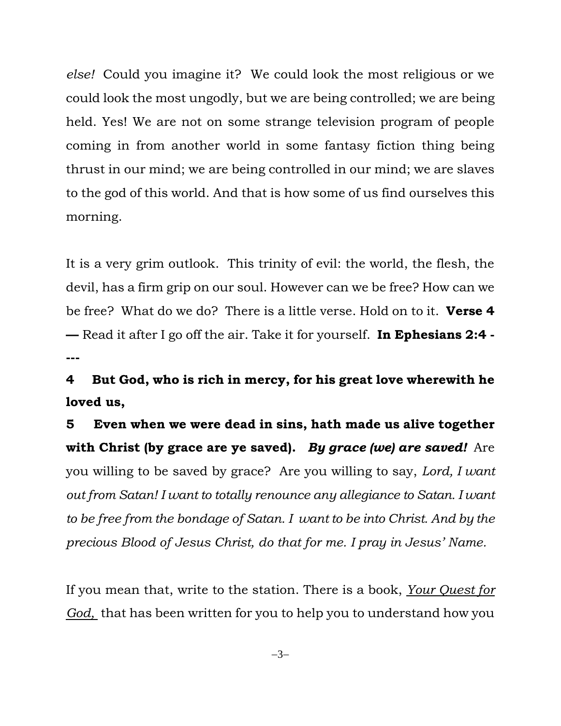*else!* Could you imagine it? We could look the most religious or we could look the most ungodly, but we are being controlled; we are being held. Yes! We are not on some strange television program of people coming in from another world in some fantasy fiction thing being thrust in our mind; we are being controlled in our mind; we are slaves to the god of this world. And that is how some of us find ourselves this morning.

It is a very grim outlook. This trinity of evil: the world, the flesh, the devil, has a firm grip on our soul. However can we be free? How can we be free? What do we do? There is a little verse. Hold on to it. **Verse 4 —** Read it after I go off the air. Take it for yourself. **In Ephesians 2:4 - ---**

**4 But God, who is rich in mercy, for his great love wherewith he loved us,**

**5 Even when we were dead in sins, hath made us alive together with Christ (by grace are ye saved).** *By grace (we) are saved!* Are you willing to be saved by grace? Are you willing to say, *Lord, I want out from Satan! I want to totally renounce any allegiance to Satan. I want to be free from the bondage of Satan. I want to be into Christ. And by the precious Blood of Jesus Christ, do that for me. I pray in Jesus' Name.* 

If you mean that, write to the station. There is a book, *Your Quest for God,* that has been written for you to help you to understand how you

 $-3-$